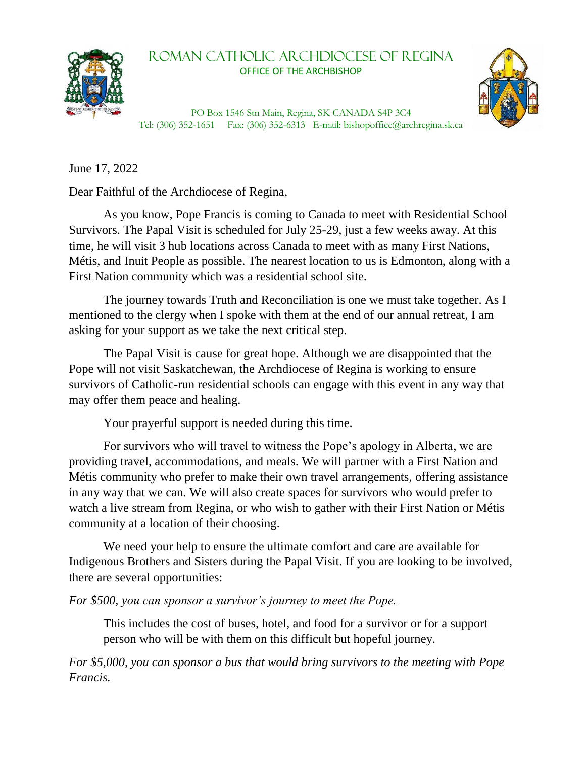

## Roman Catholic Archdiocese of REGINA OFFICE OF THE ARCHBISHOP



PO Box 1546 Stn Main, Regina, SK CANADA S4P 3C4 Tel: (306) 352-1651 Fax: (306) 352-6313 E-mail: bishopoffice@archregina.sk.ca

June 17, 2022

Dear Faithful of the Archdiocese of Regina,

As you know, Pope Francis is coming to Canada to meet with Residential School Survivors. The Papal Visit is scheduled for July 25-29, just a few weeks away. At this time, he will visit 3 hub locations across Canada to meet with as many First Nations, Métis, and Inuit People as possible. The nearest location to us is Edmonton, along with a First Nation community which was a residential school site.

The journey towards Truth and Reconciliation is one we must take together. As I mentioned to the clergy when I spoke with them at the end of our annual retreat, I am asking for your support as we take the next critical step.

The Papal Visit is cause for great hope. Although we are disappointed that the Pope will not visit Saskatchewan, the Archdiocese of Regina is working to ensure survivors of Catholic-run residential schools can engage with this event in any way that may offer them peace and healing.

Your prayerful support is needed during this time.

For survivors who will travel to witness the Pope's apology in Alberta, we are providing travel, accommodations, and meals. We will partner with a First Nation and Métis community who prefer to make their own travel arrangements, offering assistance in any way that we can. We will also create spaces for survivors who would prefer to watch a live stream from Regina, or who wish to gather with their First Nation or Métis community at a location of their choosing.

We need your help to ensure the ultimate comfort and care are available for Indigenous Brothers and Sisters during the Papal Visit. If you are looking to be involved, there are several opportunities:

## *For \$500, you can sponsor a survivor's journey to meet the Pope.*

This includes the cost of buses, hotel, and food for a survivor or for a support person who will be with them on this difficult but hopeful journey.

*For \$5,000, you can sponsor a bus that would bring survivors to the meeting with Pope Francis.*